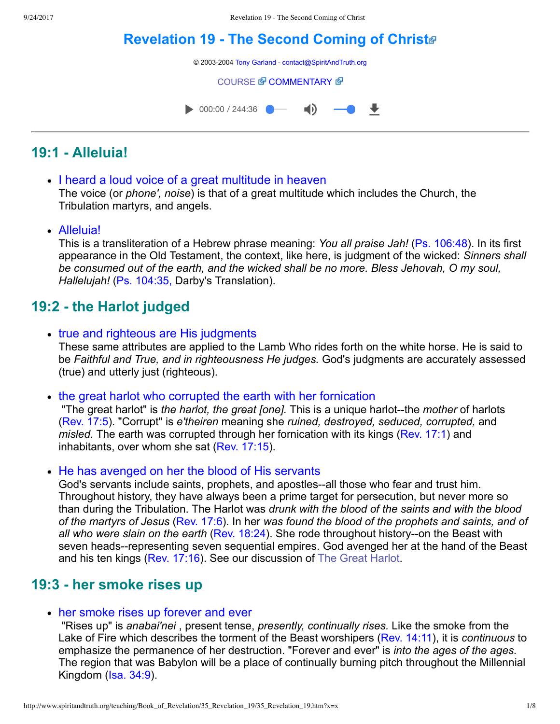# **Revelation 19 - The Second Coming of Christ**®

© 2003-2004 [Tony Garland](http://www.spiritandtruth.org/teaching/teachers/tony_garland/bio.htm) - [contact@SpiritAndTruth.org](mailto:contact@SpiritAndTruth.org?subject=ST-MAIL:%20Revelation%2019%20-%20The%20Second%20Coming%20of%20Christ)

[COURSE](http://www.spiritandtruth.org/teaching/Book_of_Revelation/35_Revelation_19/index.htm) *T* [COMMENTARY](http://www.spiritandtruth.org/teaching/Book_of_Revelation/commentary/htm/index.html?Revelation_19) **T** 

 $\bullet$  000:00 / 244:36  $\blacksquare$ ₩

# **19:1 Alleluia!**

- I heard a loud voice of a great multitude in heaven The voice (or *phone', noise*) is that of a great multitude which includes the Church, the Tribulation martyrs, and angels.
- Alleluia!

This is a transliteration of a Hebrew phrase meaning: *You all praise Jah!* ([Ps. 106:48](http://www.spiritandtruth.org/bibles/nasb/b19c106.htm#Ps._C106V48)). In its first appearance in the Old Testament, the context, like here, is judgment of the wicked: *Sinners shall be consumed out of the earth, and the wicked shall be no more. Bless Jehovah, O my soul, Hallelujah!* [\(Ps. 104:35,](http://www.spiritandtruth.org/bibles/nasb/b19c104.htm#Ps._C104V35) Darby's Translation).

# **19:2 the Harlot judged**

- true and righteous are His judgments These same attributes are applied to the Lamb Who rides forth on the white horse. He is said to be *Faithful and True, and in righteousness He judges.* God's judgments are accurately assessed (true) and utterly just (righteous).
- the great harlot who corrupted the earth with her fornication

"The great harlot" is *the harlot, the great [one]*. This is a unique harlot--the *mother* of harlots [\(Rev. 17:5\)](http://www.spiritandtruth.org/bibles/nasb/b66c017.htm#Rev._C17V5). "Corrupt" is *e'theiren* meaning she *ruined, destroyed, seduced, corrupted,* and *misled.* The earth was corrupted through her fornication with its kings ([Rev. 17:1](http://www.spiritandtruth.org/bibles/nasb/b66c017.htm#Rev._C17V1)) and inhabitants, over whom she sat ([Rev. 17:15](http://www.spiritandtruth.org/bibles/nasb/b66c017.htm#Rev._C17V15)).

• He has avenged on her the blood of His servants

God's servants include saints, prophets, and apostles--all those who fear and trust him. Throughout history, they have always been a prime target for persecution, but never more so than during the Tribulation. The Harlot was *drunk with the blood of the saints and with the blood of the martyrs of Jesus* ([Rev. 17:6](http://www.spiritandtruth.org/bibles/nasb/b66c017.htm#Rev._C17V6)). In her *was found the blood of the prophets and saints, and of* all who were slain on the earth ([Rev. 18:24\)](http://www.spiritandtruth.org/bibles/nasb/b66c018.htm#Rev._C18V24). She rode throughout history--on the Beast with seven heads--representing seven sequential empires. God avenged her at the hand of the Beast and his ten kings ([Rev. 17:16\)](http://www.spiritandtruth.org/bibles/nasb/b66c017.htm#Rev._C17V16). See our discussion of [The Great Harlot.](http://www.spiritandtruth.org/teaching/Book_of_Revelation/32_Babylon_and_the_Harlot/index.htm)

## **19:3 her smoke rises up**

#### • her smoke rises up forever and ever

 "Rises up" is *anabai'nei* , present tense, *presently, continually rises.* Like the smoke from the Lake of Fire which describes the torment of the Beast worshipers ([Rev. 14:11\)](http://www.spiritandtruth.org/bibles/nasb/b66c014.htm#Rev._C14V11), it is *continuous* to emphasize the permanence of her destruction. "Forever and ever" is *into the ages of the ages.* The region that was Babylon will be a place of continually burning pitch throughout the Millennial Kingdom ([Isa. 34:9\)](http://www.spiritandtruth.org/bibles/nasb/b23c034.htm#Isa._C34V9).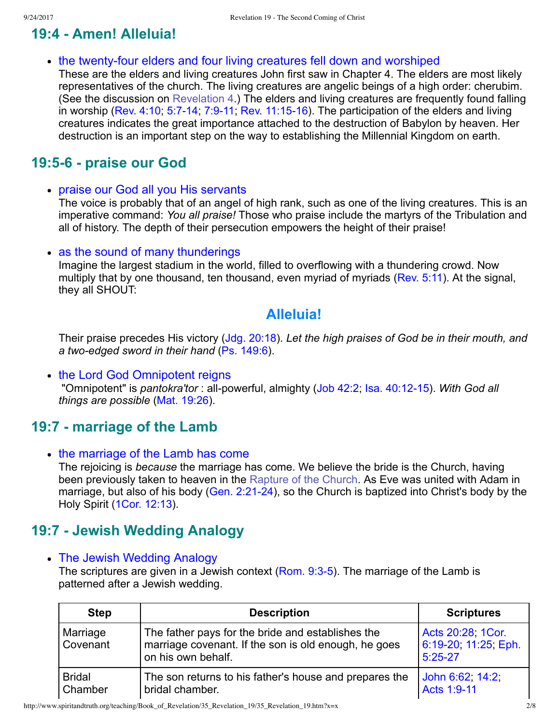# **19:4 Amen! Alleluia!**

• the twenty-four elders and four living creatures fell down and worshiped

These are the elders and living creatures John first saw in Chapter 4. The elders are most likely representatives of the church. The living creatures are angelic beings of a high order: cherubim. (See the discussion on [Revelation 4](http://www.spiritandtruth.org/teaching/Book_of_Revelation/19_Revelation_4/index.htm).) The elders and living creatures are frequently found falling in worship (Rev.  $4:10$ ;  $5:7-14$ ;  $7:9-11$ ; Rev.  $11:15-16$ ). The participation of the elders and living creatures indicates the great importance attached to the destruction of Babylon by heaven. Her destruction is an important step on the way to establishing the Millennial Kingdom on earth.

# **19:56 praise our God**

praise our God all you His servants

The voice is probably that of an angel of high rank, such as one of the living creatures. This is an imperative command: *You all praise!* Those who praise include the martyrs of the Tribulation and all of history. The depth of their persecution empowers the height of their praise!

• as the sound of many thunderings

Imagine the largest stadium in the world, filled to overflowing with a thundering crowd. Now multiply that by one thousand, ten thousand, even myriad of myriads ([Rev. 5:11](http://www.spiritandtruth.org/bibles/nasb/b66c005.htm#Rev._C5V11)). At the signal, they all SHOUT:

## **Alleluia!**

Their praise precedes His victory [\(Jdg. 20:18](http://www.spiritandtruth.org/bibles/nasb/b07c020.htm#Jdg._C20V18)). *Let the high praises of God be in their mouth, and a twoedged sword in their hand* [\(Ps. 149:6](http://www.spiritandtruth.org/bibles/nasb/b19c149.htm#Ps._C149V6)).

• the Lord God Omnipotent reigns

"Omnipotent" is *pantokra'tor*: all-powerful, almighty [\(Job 42:2;](http://www.spiritandtruth.org/bibles/nasb/b18c042.htm#Job_C42V2) Isa. 40:12-15). *With God all things are possible* [\(Mat. 19:26](http://www.spiritandtruth.org/bibles/nasb/b40c019.htm#Mat._C19V26)).

## **19:7 marriage of the Lamb**

• the marriage of the Lamb has come

The rejoicing is *because* the marriage has come. We believe the bride is the Church, having been previously taken to heaven in the [Rapture of the Church](http://www.spiritandtruth.org/teaching/Book_of_Revelation/19_Revelation_4/index.htm). As Eve was united with Adam in marriage, but also of his body (Gen. 2:21-24), so the Church is baptized into Christ's body by the Holy Spirit [\(1Cor. 12:13](http://www.spiritandtruth.org/bibles/nasb/b46c012.htm#1Cor._C12V13)).

# **19:7 Jewish Wedding Analogy**

• The Jewish Wedding Analogy

The scriptures are given in a Jewish context ( $Rom. 9:3-5$ ). The marriage of the Lamb is patterned after a Jewish wedding.

| <b>Step</b>              | <b>Description</b>                                                                                                              | <b>Scriptures</b>                                      |
|--------------------------|---------------------------------------------------------------------------------------------------------------------------------|--------------------------------------------------------|
| Marriage<br>Covenant     | The father pays for the bride and establishes the<br>marriage covenant. If the son is old enough, he goes<br>on his own behalf. | Acts 20:28, 1Cor.<br>6:19-20, 11:25, Eph.<br>$5:25-27$ |
| <b>Bridal</b><br>Chamber | The son returns to his father's house and prepares the<br>bridal chamber.                                                       | John 6:62, 14:2,<br>Acts 1:9-11                        |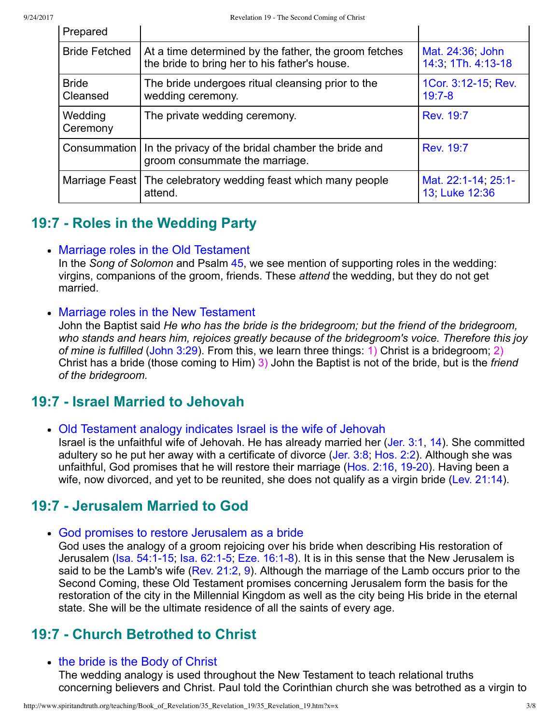| Prepared                 |                                                                                                        |                                        |
|--------------------------|--------------------------------------------------------------------------------------------------------|----------------------------------------|
| <b>Bride Fetched</b>     | At a time determined by the father, the groom fetches<br>the bride to bring her to his father's house. | Mat. 24:36, John<br>14:3, 1Th. 4:13-18 |
| <b>Bride</b><br>Cleansed | The bride undergoes ritual cleansing prior to the<br>wedding ceremony.                                 | 1Cor. 3:12-15, Rev.<br>$19:7 - 8$      |
| Wedding<br>Ceremony      | The private wedding ceremony.                                                                          | Rev. 19:7                              |
| Consummation             | In the privacy of the bridal chamber the bride and<br>groom consummate the marriage.                   | <b>Rev. 19:7</b>                       |
|                          | Marriage Feast   The celebratory wedding feast which many people<br>attend.                            | Mat. 22:1-14, 25:1-<br>13 Luke 12:36   |

# **19:7 Roles in the Wedding Party**

#### • Marriage roles in the Old Testament

In the *Song of Solomon* and Psalm [45](http://www.spiritandtruth.org/bibles/nasb/b19c045.htm#Ps._C45V1), we see mention of supporting roles in the wedding: virgins, companions of the groom, friends. These *attend* the wedding, but they do not get married.

#### • Marriage roles in the New Testament

John the Baptist said *He who has the bride is the bridegroom; but the friend of the bridegroom, who stands and hears him, rejoices greatly because of the bridegroom's voice. Therefore this joy of mine is fulfilled* [\(John 3:29](http://www.spiritandtruth.org/bibles/nasb/b43c003.htm#John_C3V29)). From this, we learn three things: 1) Christ is a bridegroom; 2) Christ has a bride (those coming to Him) 3) John the Baptist is not of the bride, but is the *friend of the bridegroom.*

# **19:7 Israel Married to Jehovah**

Old Testament analogy indicates Israel is the wife of Jehovah

Israel is the unfaithful wife of Jehovah. He has already married her ([Jer. 3:1](http://www.spiritandtruth.org/bibles/nasb/b24c003.htm#Jer._C3V1), [14\)](http://www.spiritandtruth.org/bibles/nasb/b24c003.htm#Jer._C3V14). She committed adultery so he put her away with a certificate of divorce ([Jer. 3:8](http://www.spiritandtruth.org/bibles/nasb/b24c003.htm#Jer._C3V8); [Hos. 2:2](http://www.spiritandtruth.org/bibles/nasb/b28c002.htm#Hos._C2V2)). Although she was unfaithful, God promises that he will restore their marriage ([Hos. 2:16](http://www.spiritandtruth.org/bibles/nasb/b28c002.htm#Hos._C2V16), 19-20). Having been a wife, now divorced, and yet to be reunited, she does not qualify as a virgin bride ([Lev. 21:14\)](http://www.spiritandtruth.org/bibles/nasb/b03c021.htm#Lev._C21V14).

# **19:7 Jerusalem Married to God**

God promises to restore Jerusalem as a bride

God uses the analogy of a groom rejoicing over his bride when describing His restoration of Jerusalem ( $Isa. 54:1-15$ ,  $Isa. 62:1-5$ ,  $Eze. 16:1-8$ ). It is in this sense that the New Jerusalem is said to be the Lamb's wife ([Rev. 21:2,](http://www.spiritandtruth.org/bibles/nasb/b66c021.htm#Rev._C21V2) [9](http://www.spiritandtruth.org/bibles/nasb/b66c021.htm#Rev._C21V9)). Although the marriage of the Lamb occurs prior to the Second Coming, these Old Testament promises concerning Jerusalem form the basis for the restoration of the city in the Millennial Kingdom as well as the city being His bride in the eternal state. She will be the ultimate residence of all the saints of every age.

# **19:7 Church Betrothed to Christ**

#### • the bride is the Body of Christ

The wedding analogy is used throughout the New Testament to teach relational truths concerning believers and Christ. Paul told the Corinthian church she was betrothed as a virgin to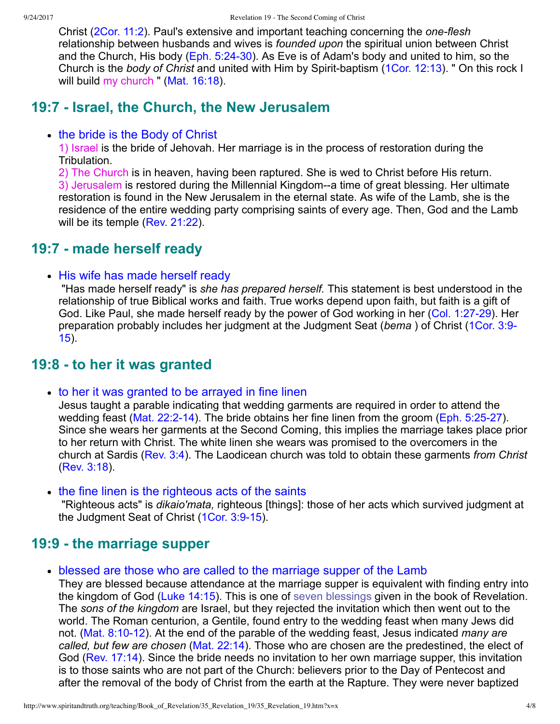Christ ([2Cor. 11:2](http://www.spiritandtruth.org/bibles/nasb/b47c011.htm#2Cor._C11V2)). Paul's extensive and important teaching concerning the *one-flesh* relationship between husbands and wives is *founded upon* the spiritual union between Christ and the Church, His body ([Eph. 5:2430\)](http://www.spiritandtruth.org/bibles/nasb/b49c005.htm#Eph._C5V24). As Eve is of Adam's body and united to him, so the Church is the *body of Christ* and united with Him by Spirit-baptism [\(1Cor. 12:13](http://www.spiritandtruth.org/bibles/nasb/b46c012.htm#1Cor._C12V13)). " On this rock I will build my church " [\(Mat. 16:18\)](http://www.spiritandtruth.org/bibles/nasb/b40c016.htm#Mat._C16V18).

## **19:7 Israel, the Church, the New Jerusalem**

#### • the bride is the Body of Christ

1) Israel is the bride of Jehovah. Her marriage is in the process of restoration during the Tribulation.

2) The Church is in heaven, having been raptured. She is wed to Christ before His return. 3) Jerusalem is restored during the Millennial Kingdom--a time of great blessing. Her ultimate restoration is found in the New Jerusalem in the eternal state. As wife of the Lamb, she is the residence of the entire wedding party comprising saints of every age. Then, God and the Lamb will be its temple [\(Rev. 21:22](http://www.spiritandtruth.org/bibles/nasb/b66c021.htm#Rev._C21V22)).

## **19:7 made herself ready**

#### • His wife has made herself ready

 "Has made herself ready" is *she has prepared herself.* This statement is best understood in the relationship of true Biblical works and faith. True works depend upon faith, but faith is a gift of God. Like Paul, she made herself ready by the power of God working in her (Col. 1:27-29). Her [preparation probably includes her judgment at the Judgment Seat \(](http://www.spiritandtruth.org/bibles/nasb/b46c003.htm#1Cor._C3V9)*bema* ) of Christ (1Cor. 3:9 15).

## **19:8 to her it was granted**

• to her it was granted to be arrayed in fine linen

Jesus taught a parable indicating that wedding garments are required in order to attend the wedding feast (Mat.  $22:2-14$ ). The bride obtains her fine linen from the groom (Eph.  $5:25-27$ ). Since she wears her garments at the Second Coming, this implies the marriage takes place prior to her return with Christ. The white linen she wears was promised to the overcomers in the church at Sardis [\(Rev. 3:4\)](http://www.spiritandtruth.org/bibles/nasb/b66c003.htm#Rev._C3V4). The Laodicean church was told to obtain these garments *from Christ* [\(Rev. 3:18\)](http://www.spiritandtruth.org/bibles/nasb/b66c003.htm#Rev._C3V18).

• the fine linen is the righteous acts of the saints

 "Righteous acts" is *dikaio'mata,* righteous [things]: those of her acts which survived judgment at the Judgment Seat of Christ (1Cor. 3:9-15).

## **19:9 the marriage supper**

• blessed are those who are called to the marriage supper of the Lamb

They are blessed because attendance at the marriage supper is equivalent with finding entry into the kingdom of God [\(Luke 14:15\)](http://www.spiritandtruth.org/bibles/nasb/b42c014.htm#Luke_C14V15). This is one of [seven blessings](http://www.spiritandtruth.org/teaching/Book_of_Revelation/11_Revelation_1_3-4/index.htm) given in the book of Revelation. The *sons of the kingdom* are Israel, but they rejected the invitation which then went out to the world. The Roman centurion, a Gentile, found entry to the wedding feast when many Jews did not. (Mat. 8:10-12). At the end of the parable of the wedding feast, Jesus indicated *many are called, but few are chosen* ([Mat. 22:14](http://www.spiritandtruth.org/bibles/nasb/b40c022.htm#Mat._C22V14)). Those who are chosen are the predestined, the elect of God [\(Rev. 17:14](http://www.spiritandtruth.org/bibles/nasb/b66c017.htm#Rev._C17V14)). Since the bride needs no invitation to her own marriage supper, this invitation is to those saints who are not part of the Church: believers prior to the Day of Pentecost and after the removal of the body of Christ from the earth at the Rapture. They were never baptized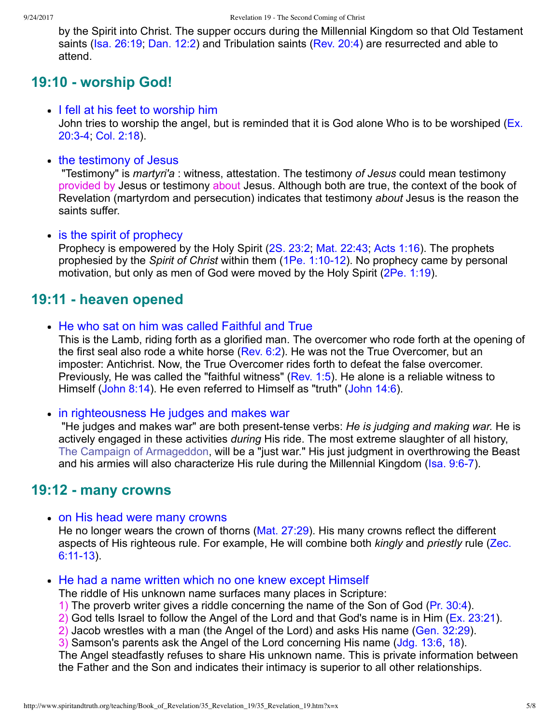by the Spirit into Christ. The supper occurs during the Millennial Kingdom so that Old Testament saints ([Isa. 26:19;](http://www.spiritandtruth.org/bibles/nasb/b23c026.htm#Isa._C26V19) [Dan. 12:2](http://www.spiritandtruth.org/bibles/nasb/b27c012.htm#Dan._C12V2)) and Tribulation saints ([Rev. 20:4](http://www.spiritandtruth.org/bibles/nasb/b66c020.htm#Rev._C20V4)) are resurrected and able to attend.

# **19:10 worship God!**

- I fell at his feet to worship him [John tries to worship the angel, but is reminded that it is God alone Who is to be worshiped \(Ex.](http://www.spiritandtruth.org/bibles/nasb/b02c020.htm#Ex._C20V3) 20:34; [Col. 2:18\)](http://www.spiritandtruth.org/bibles/nasb/b51c002.htm#Col._C2V18).
- the testimony of Jesus

 "Testimony" is *martyri'a* : witness, attestation. The testimony *of Jesus* could mean testimony provided by Jesus or testimony about Jesus. Although both are true, the context of the book of Revelation (martyrdom and persecution) indicates that testimony *about* Jesus is the reason the saints suffer.

• is the spirit of prophecy

Prophecy is empowered by the Holy Spirit [\(2S. 23:2](http://www.spiritandtruth.org/bibles/nasb/b10c023.htm#2S._C23V2); [Mat. 22:43;](http://www.spiritandtruth.org/bibles/nasb/b40c022.htm#Mat._C22V43) [Acts 1:16](http://www.spiritandtruth.org/bibles/nasb/b44c001.htm#Acts_C1V16)). The prophets prophesied by the *Spirit of Christ* within them (1Pe. 1:10-12). No prophecy came by personal motivation, but only as men of God were moved by the Holy Spirit ([2Pe. 1:19](http://www.spiritandtruth.org/bibles/nasb/b61c001.htm#2Pe._C1V19)).

# **19:11 heaven opened**

• He who sat on him was called Faithful and True

This is the Lamb, riding forth as a glorified man. The overcomer who rode forth at the opening of the first seal also rode a white horse ([Rev. 6:2](http://www.spiritandtruth.org/bibles/nasb/b66c006.htm#Rev._C6V2)). He was not the True Overcomer, but an imposter: Antichrist. Now, the True Overcomer rides forth to defeat the false overcomer. Previously, He was called the "faithful witness" ([Rev. 1:5\)](http://www.spiritandtruth.org/bibles/nasb/b66c001.htm#Rev._C1V5). He alone is a reliable witness to Himself [\(John 8:14](http://www.spiritandtruth.org/bibles/nasb/b43c008.htm#John_C8V14)). He even referred to Himself as "truth" ([John 14:6](http://www.spiritandtruth.org/bibles/nasb/b43c014.htm#John_C14V6)).

• in righteousness He judges and makes war

"He judges and makes war" are both present-tense verbs: *He is judging and making war*. He is actively engaged in these activities *during* His ride. The most extreme slaughter of all history, [The Campaign of Armageddon](http://www.spiritandtruth.org/teaching/Book_of_Revelation/31_Revelation_16/index.htm), will be a "just war." His just judgment in overthrowing the Beast and his armies will also characterize His rule during the Millennial Kingdom (Isa. 9:6-7).

## **19:12 many crowns**

• on His head were many crowns

He no longer wears the crown of thorns ([Mat. 27:29\)](http://www.spiritandtruth.org/bibles/nasb/b40c027.htm#Mat._C27V29). His many crowns reflect the different [aspects of His righteous rule. For example, He will combine both](http://www.spiritandtruth.org/bibles/nasb/b38c006.htm#Zec._C6V11) *kingly* and *priestly* rule (Zec.  $6:11-13$ ).

#### • He had a name written which no one knew except Himself

The riddle of His unknown name surfaces many places in Scripture:

- 1) The proverb writer gives a riddle concerning the name of the Son of God ([Pr. 30:4](http://www.spiritandtruth.org/bibles/nasb/b20c030.htm#Pr._C30V4)).
- 2) God tells Israel to follow the Angel of the Lord and that God's name is in Him ([Ex. 23:21](http://www.spiritandtruth.org/bibles/nasb/b02c023.htm#Ex._C23V21)).
- 2) Jacob wrestles with a man (the Angel of the Lord) and asks His name [\(Gen. 32:29\)](http://www.spiritandtruth.org/bibles/nasb/b01c032.htm#Gen._C32V29).

3) Samson's parents ask the Angel of the Lord concerning His name [\(Jdg. 13:6,](http://www.spiritandtruth.org/bibles/nasb/b07c013.htm#Jdg._C13V6) [18\)](http://www.spiritandtruth.org/bibles/nasb/b07c013.htm#Jdg._C13V18).

The Angel steadfastly refuses to share His unknown name. This is private information between the Father and the Son and indicates their intimacy is superior to all other relationships.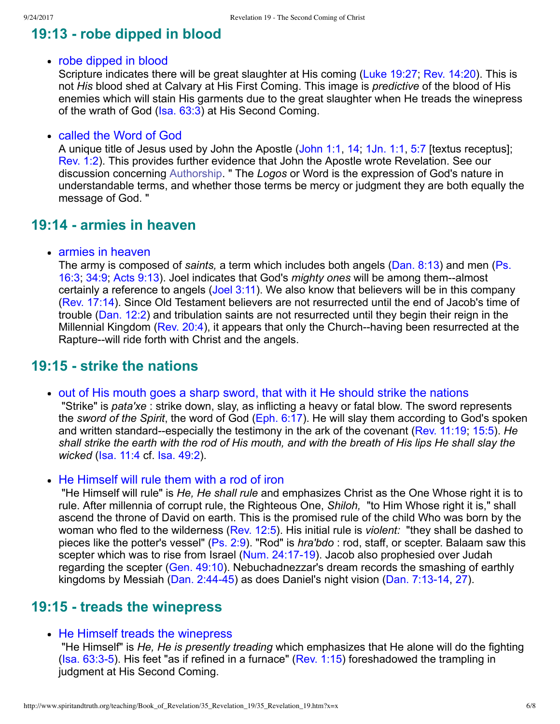# **19:13 robe dipped in blood**

#### • robe dipped in blood

Scripture indicates there will be great slaughter at His coming [\(Luke 19:27;](http://www.spiritandtruth.org/bibles/nasb/b42c019.htm#Luke_C19V27) [Rev. 14:20](http://www.spiritandtruth.org/bibles/nasb/b66c014.htm#Rev._C14V20)). This is not *His* blood shed at Calvary at His First Coming. This image is *predictive* of the blood of His enemies which will stain His garments due to the great slaughter when He treads the winepress of the wrath of God ([Isa. 63:3](http://www.spiritandtruth.org/bibles/nasb/b23c063.htm#Isa._C63V3)) at His Second Coming.

#### called the Word of God

A unique title of Jesus used by John the Apostle [\(John 1:1](http://www.spiritandtruth.org/bibles/nasb/b43c001.htm#John_C1V1), [14;](http://www.spiritandtruth.org/bibles/nasb/b43c001.htm#John_C1V14) [1Jn. 1:1](http://www.spiritandtruth.org/bibles/nasb/b62c001.htm#1Jn._C1V1), [5:7](http://www.spiritandtruth.org/bibles/nasb/b62c005.htm#1Jn._C5V7) [textus receptus]; [Rev. 1:2\)](http://www.spiritandtruth.org/bibles/nasb/b66c001.htm#Rev._C1V2). This provides further evidence that John the Apostle wrote Revelation. See our discussion concerning [Authorship.](http://www.spiritandtruth.org/teaching/Book_of_Revelation/04_introduction/index.htm) " The *Logos* or Word is the expression of God's nature in understandable terms, and whether those terms be mercy or judgment they are both equally the message of God. "

### **19:14 armies in heaven**

• armies in heaven

The army is composed of *saints,* [a term which includes both angels \(Dan. 8:13\) and men \(Ps.](http://www.spiritandtruth.org/bibles/nasb/b19c016.htm#Ps._C16V3) 16:3; [34:9](http://www.spiritandtruth.org/bibles/nasb/b19c034.htm#Ps._C34V9); [Acts 9:13](http://www.spiritandtruth.org/bibles/nasb/b44c009.htm#Acts_C9V13)). Joel indicates that God's *mighty ones* will be among them--almost certainly a reference to angels [\(Joel 3:11](http://www.spiritandtruth.org/bibles/nasb/b29c003.htm#Joel_C3V11)). We also know that believers will be in this company [\(Rev. 17:14\)](http://www.spiritandtruth.org/bibles/nasb/b66c017.htm#Rev._C17V14). Since Old Testament believers are not resurrected until the end of Jacob's time of trouble [\(Dan. 12:2](http://www.spiritandtruth.org/bibles/nasb/b27c012.htm#Dan._C12V2)) and tribulation saints are not resurrected until they begin their reign in the Millennial Kingdom [\(Rev. 20:4](http://www.spiritandtruth.org/bibles/nasb/b66c020.htm#Rev._C20V4)), it appears that only the Church-having been resurrected at the Rapture--will ride forth with Christ and the angels.

### **19:15 strike the nations**

• out of His mouth goes a sharp sword, that with it He should strike the nations

 "Strike" is *pata'xe* : strike down, slay, as inflicting a heavy or fatal blow. The sword represents the *sword of the Spirit*, the word of God [\(Eph. 6:17](http://www.spiritandtruth.org/bibles/nasb/b49c006.htm#Eph._C6V17)). He will slay them according to God's spoken and written standard-especially the testimony in the ark of the covenant ([Rev. 11:19](http://www.spiritandtruth.org/bibles/nasb/b66c011.htm#Rev._C11V19); [15:5](http://www.spiritandtruth.org/bibles/nasb/b66c015.htm#Rev._C15V5)). He *shall strike the earth with the rod of His mouth, and with the breath of His lips He shall slay the wicked* [\(Isa. 11:4](http://www.spiritandtruth.org/bibles/nasb/b23c011.htm#Isa._C11V4) cf. [Isa. 49:2\)](http://www.spiritandtruth.org/bibles/nasb/b23c049.htm#Isa._C49V2).

• He Himself will rule them with a rod of iron

 "He Himself will rule" is *He, He shall rule* and emphasizes Christ as the One Whose right it is to rule. After millennia of corrupt rule, the Righteous One, *Shiloh,*  "to Him Whose right it is," shall ascend the throne of David on earth. This is the promised rule of the child Who was born by the woman who fled to the wilderness ([Rev. 12:5](http://www.spiritandtruth.org/bibles/nasb/b66c012.htm#Rev._C12V5)). His initial rule is *violent:*  "they shall be dashed to pieces like the potter's vessel" [\(Ps. 2:9\)](http://www.spiritandtruth.org/bibles/nasb/b19c002.htm#Ps._C2V9). "Rod" is *hra'bdo* : rod, staff, or scepter. Balaam saw this scepter which was to rise from Israel (Num. 24:17-19). Jacob also prophesied over Judah regarding the scepter ([Gen. 49:10](http://www.spiritandtruth.org/bibles/nasb/b01c049.htm#Gen._C49V10)). Nebuchadnezzar's dream records the smashing of earthly kingdoms by Messiah (Dan. 2:44-45) as does Daniel's night vision (Dan. 7:13-14, [27](http://www.spiritandtruth.org/bibles/nasb/b27c007.htm#Dan._C7V27)).

### **19:15 treads the winepress**

#### • He Himself treads the winepress

 "He Himself" is *He, He is presently treading* which emphasizes that He alone will do the fighting ( $Isa. 63:3-5$ ). His feet "as if refined in a furnace" ([Rev. 1:15](http://www.spiritandtruth.org/bibles/nasb/b66c001.htm#Rev._C1V15)) foreshadowed the trampling in judgment at His Second Coming.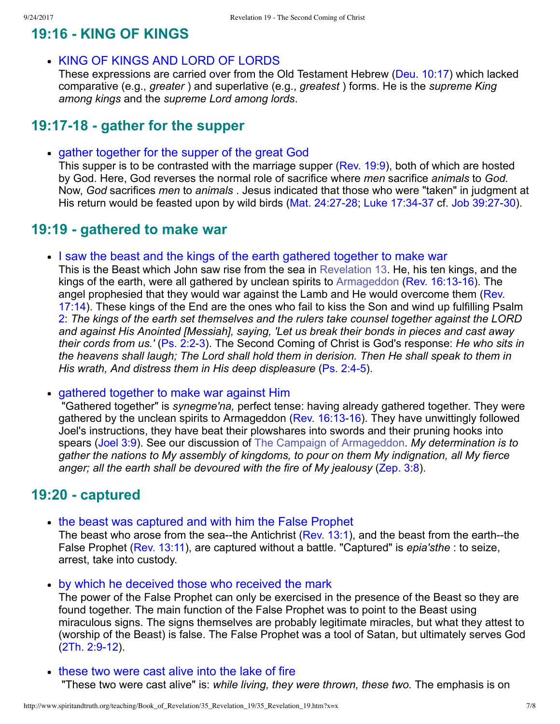## **19:16 KING OF KINGS**

KING OF KINGS AND LORD OF LORDS

These expressions are carried over from the Old Testament Hebrew ([Deu. 10:17](http://www.spiritandtruth.org/bibles/nasb/b05c010.htm#Deu._C10V17)) which lacked comparative (e.g., *greater* ) and superlative (e.g., *greatest* ) forms. He is the *supreme King among kings* and the *supreme Lord among lords*.

## **19:17-18 - gather for the supper**

gather together for the supper of the great God

This supper is to be contrasted with the marriage supper [\(Rev. 19:9](http://www.spiritandtruth.org/bibles/nasb/b66c019.htm#Rev._C19V9)), both of which are hosted by God. Here, God reverses the normal role of sacrifice where *men* sacrifice *animals* to *God.* Now, *God* sacrifices *men* to *animals* . Jesus indicated that those who were "taken" in judgment at His return would be feasted upon by wild birds (Mat. 24:27-28; Luke 17:34-37 cf. Job 39:27-30).

## **19:19 gathered to make war**

I saw the beast and the kings of the earth gathered together to make war

This is the Beast which John saw rise from the sea in [Revelation 13](http://www.spiritandtruth.org/teaching/Book_of_Revelation/28_Revelation_13/index.htm). He, his ten kings, and the kings of the earth, were all gathered by unclean spirits to [Armageddon](http://www.spiritandtruth.org/teaching/Book_of_Revelation/31_Revelation_16/index.htm) (Rev. 16:13-16). The [angel prophesied that they would war against the Lamb and He would overcome them \(Rev.](http://www.spiritandtruth.org/bibles/nasb/b66c017.htm#Rev._C17V14) 17:14). These kings of the End are the ones who fail to kiss the Son and wind up fulfilling Psalm [2:](http://www.spiritandtruth.org/bibles/nasb/b19c002.htm#Ps._C2V1) *The kings of the earth set themselves and the rulers take counsel together against the LORD and against His Anointed [Messiah], saying, 'Let us break their bonds in pieces and cast away their cords from us.'* ([Ps. 2:23\)](http://www.spiritandtruth.org/bibles/nasb/b19c002.htm#Ps._C2V2). The Second Coming of Christ is God's response: *He who sits in the heavens shall laugh; The Lord shall hold them in derision. Then He shall speak to them in His wrath, And distress them in His deep displeasure* (Ps. 2:4-5).

#### gathered together to make war against Him

 "Gathered together" is *synegme'na,* perfect tense: having already gathered together. They were gathered by the unclean spirits to Armageddon (Rev.  $16:13-16$ ). They have unwittingly followed Joel's instructions, they have beat their plowshares into swords and their pruning hooks into spears ([Joel 3:9\)](http://www.spiritandtruth.org/bibles/nasb/b29c003.htm#Joel_C3V9). See our discussion of [The Campaign of Armageddon](http://www.spiritandtruth.org/teaching/Book_of_Revelation/31_Revelation_16/index.htm). *My determination is to gather the nations to My assembly of kingdoms, to pour on them My indignation, all My fierce anger; all the earth shall be devoured with the fire of My jealousy* ([Zep. 3:8\)](http://www.spiritandtruth.org/bibles/nasb/b36c003.htm#Zep._C3V8).

## **19:20 captured**

• the beast was captured and with him the False Prophet

The beast who arose from the sea--the Antichrist [\(Rev. 13:1\)](http://www.spiritandtruth.org/bibles/nasb/b66c013.htm#Rev._C13V1), and the beast from the earth--the False Prophet [\(Rev. 13:11](http://www.spiritandtruth.org/bibles/nasb/b66c013.htm#Rev._C13V11)), are captured without a battle. "Captured" is *epia'sthe* : to seize, arrest, take into custody.

by which he deceived those who received the mark

The power of the False Prophet can only be exercised in the presence of the Beast so they are found together. The main function of the False Prophet was to point to the Beast using miraculous signs. The signs themselves are probably legitimate miracles, but what they attest to (worship of the Beast) is false. The False Prophet was a tool of Satan, but ultimately serves God  $(2Th. 2:9-12).$ 

• these two were cast alive into the lake of fire

"These two were cast alive" is: *while living, they were thrown, these two.* The emphasis is on